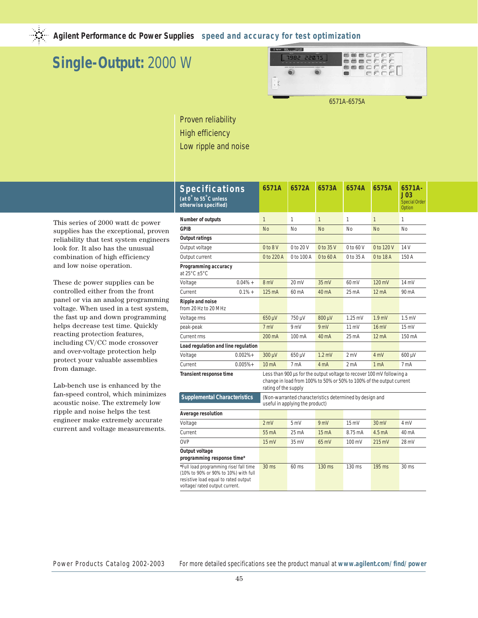

# **Single-Output:** 2000 W



Proven reliability High efficiency Low ripple and noise

| This series of 2000 watt de power      |
|----------------------------------------|
| supplies has the exceptional, proven   |
| reliability that test system engineers |
| look for. It also has the unusual      |
| combination of high efficiency         |
| and low noise operation.               |

These dc power supplies can be controlled either from the front panel or via an analog programming voltage. When used in a test system, the fast up and down programming helps decrease test time. Quickly reacting protection features, including CV/CC mode crossover and over-voltage protection help protect your valuable assemblies from damage.

Lab-bench use is enhanced by the fan-speed control, which minimizes acoustic noise. The extremely low ripple and noise helps the test engineer make extremely accurate current and voltage measurements.

| <b>Specifications</b><br>(at 0° to 55°C unless<br>otherwise specified)                                                                                 | 6571A             | 6572A                                                                                                                                                                 | 6573A           | 6574A                     | 6575A              | $6571A -$<br>J03<br><b>Special Order</b><br>Option |  |  |
|--------------------------------------------------------------------------------------------------------------------------------------------------------|-------------------|-----------------------------------------------------------------------------------------------------------------------------------------------------------------------|-----------------|---------------------------|--------------------|----------------------------------------------------|--|--|
| Number of outputs                                                                                                                                      | $\mathbf{1}$      | 1                                                                                                                                                                     | $\mathbf{1}$    | 1                         | $\mathbf{1}$       | 1                                                  |  |  |
| <b>GPIB</b>                                                                                                                                            | <b>No</b>         | No                                                                                                                                                                    | <b>No</b>       | No                        | <b>No</b>          | No                                                 |  |  |
| <b>Output ratings</b>                                                                                                                                  |                   |                                                                                                                                                                       |                 |                           |                    |                                                    |  |  |
| Output voltage                                                                                                                                         | $0$ to $8$ V      | $0$ to $20$ V                                                                                                                                                         | $0$ to $35$ V   | $0$ to 60 V<br>0 to 120 V |                    | 14 V                                               |  |  |
| Output current                                                                                                                                         | 0 to 220 A        | 0 to 100 A                                                                                                                                                            | 0 to 60 A       | 0 to 35 A                 | 0 to 18 A          | 150 A                                              |  |  |
| Programming accuracy<br>at $25^{\circ}$ C $\pm 5^{\circ}$ C                                                                                            |                   |                                                                                                                                                                       |                 |                           |                    |                                                    |  |  |
| $0.04\% +$<br>Voltage                                                                                                                                  | 8 mV              | 20 mV                                                                                                                                                                 | 35 mV           | 60 mV                     | 120 mV             | 14 mV                                              |  |  |
| Current<br>$0.1% +$                                                                                                                                    | 125 mA            | 60 mA                                                                                                                                                                 | 40 mA           | 25 mA                     | 12 <sub>m</sub> A  | 90 mA                                              |  |  |
| Ripple and noise<br>from 20 Hz to 20 MHz                                                                                                               |                   |                                                                                                                                                                       |                 |                           |                    |                                                    |  |  |
| Voltage rms                                                                                                                                            | 650 µV            | 750 µV                                                                                                                                                                | 800 µV          | $1.25$ mV                 | 1.9 <sub>mV</sub>  | $1.5$ mV                                           |  |  |
| peak-peak                                                                                                                                              | 7 mV              | 9 mV                                                                                                                                                                  | 9mV             | $11 \text{ mV}$           | $16 \text{ mV}$    | $15 \text{ mV}$                                    |  |  |
| <b>Current rms</b>                                                                                                                                     | 200 mA            | 100 mA                                                                                                                                                                | 40 mA           | 25 mA                     | 12 <sub>m</sub> A  | 150 mA                                             |  |  |
| Load regulation and line regulation                                                                                                                    |                   |                                                                                                                                                                       |                 |                           |                    |                                                    |  |  |
| $0.002%+$<br>Voltage                                                                                                                                   | 300 µV            | 650 µV                                                                                                                                                                | $1.2$ mV        | $2 \text{ mV}$            | 4 mV               | 600 µV                                             |  |  |
| Current<br>$0.005% +$                                                                                                                                  | 10 <sub>m</sub> A | 7 mA                                                                                                                                                                  | 4 mA            | 2 <sub>m</sub> A          | 1 <sub>m</sub> A   | 7 mA                                               |  |  |
| Transient response time                                                                                                                                |                   | Less than 900 µs for the output voltage to recover 100 mV following a<br>change in load from 100% to 50% or 50% to 100% of the output current<br>rating of the supply |                 |                           |                    |                                                    |  |  |
| <b>Supplemental Characteristics</b>                                                                                                                    |                   | (Non-warranted characteristics determined by design and<br>useful in applying the product)                                                                            |                 |                           |                    |                                                    |  |  |
| Average resolution                                                                                                                                     |                   |                                                                                                                                                                       |                 |                           |                    |                                                    |  |  |
| Voltage                                                                                                                                                | 2 mV              | 5mV                                                                                                                                                                   | 9 mV            | $15 \text{ mV}$           | $30 \text{ mV}$    | 4 mV                                               |  |  |
| Current                                                                                                                                                | 55 mA             | $25 \text{ mA}$                                                                                                                                                       | $15 \text{ mA}$ | 8.75 mA                   | 4.5 <sub>m</sub> A | 40 <sub>m</sub> A                                  |  |  |
| <b>OVP</b>                                                                                                                                             | $15 \text{ mV}$   | $35 \text{ mV}$                                                                                                                                                       | $65 \text{ mV}$ | 100 mV                    | $215 \text{ mV}$   | 28 mV                                              |  |  |
| Output voltage<br>programming response time*                                                                                                           |                   |                                                                                                                                                                       |                 |                           |                    |                                                    |  |  |
| *Full load programming rise/fall time<br>(10% to 90% or 90% to 10%) with full<br>resistive load equal to rated output<br>voltage/rated output current. | 30 ms             | 60 ms                                                                                                                                                                 | 130 ms          | 130 ms                    | 195 ms             | 30 ms                                              |  |  |

Power Products Catalog 2002-2003 For more detailed specifications see the product manual at **www.agilent.com/find/power**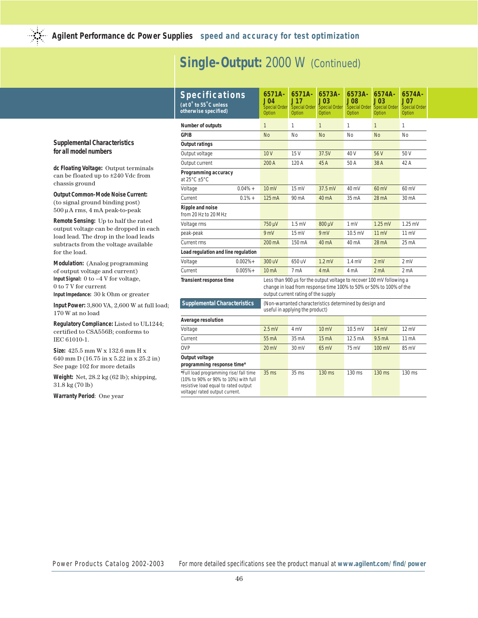### **Single-Output:** 2000 W (Continued)

| <b>Specifications</b><br>(at 0° to 55°C unless<br>otherwise specified)                                                                                 | 6571A-<br>J04<br><b>Special Order</b><br>Option                                                                                                                                     | 6571A-<br>J17<br><b>Special Order</b><br>Option | 6573A-<br><b>J03</b><br><b>Special Order</b><br>Option | 6573A-<br>.J08<br><b>Special Order</b><br>Option | 6574A-<br><b>J03</b><br><b>Special Order</b><br><b>Option</b> | 6574A-<br>J07.<br><b>Special Order</b><br>Option |  |
|--------------------------------------------------------------------------------------------------------------------------------------------------------|-------------------------------------------------------------------------------------------------------------------------------------------------------------------------------------|-------------------------------------------------|--------------------------------------------------------|--------------------------------------------------|---------------------------------------------------------------|--------------------------------------------------|--|
| Number of outputs                                                                                                                                      | $\mathbf{1}$                                                                                                                                                                        | 1                                               | $\mathbf{1}$                                           | 1                                                | $\mathbf{1}$                                                  | 1                                                |  |
| <b>GPIB</b>                                                                                                                                            | <b>No</b>                                                                                                                                                                           | <b>No</b>                                       | <b>No</b>                                              | No                                               | <b>No</b>                                                     | No                                               |  |
| <b>Output ratings</b>                                                                                                                                  |                                                                                                                                                                                     |                                                 |                                                        |                                                  |                                                               |                                                  |  |
| Output voltage                                                                                                                                         | 10V                                                                                                                                                                                 | 15 V                                            | 37.5V                                                  | 40 V                                             | 56 V                                                          | 50 V                                             |  |
| Output current                                                                                                                                         | 200 A                                                                                                                                                                               | 120 A                                           | 45 A                                                   | 50 A                                             | 38 A                                                          | 42 A                                             |  |
| Programming accuracy<br>at $25^{\circ}$ C $\pm 5^{\circ}$ C                                                                                            |                                                                                                                                                                                     |                                                 |                                                        |                                                  |                                                               |                                                  |  |
| $0.04\% +$<br>Voltage                                                                                                                                  | $10 \text{ mV}$                                                                                                                                                                     | $15 \text{ mV}$                                 | 37.5 mV                                                | 40 mV                                            | 60 mV                                                         | 60 mV                                            |  |
| $0.1% +$<br>Current                                                                                                                                    | 125 mA                                                                                                                                                                              | 90 mA                                           | 40 mA                                                  | 35 mA                                            | 28 mA                                                         | 30 mA                                            |  |
| Ripple and noise<br>from 20 Hz to 20 MHz                                                                                                               |                                                                                                                                                                                     |                                                 |                                                        |                                                  |                                                               |                                                  |  |
| Voltage rms                                                                                                                                            | 750 µV                                                                                                                                                                              | $1.5$ mV                                        | 800 µV                                                 | 1 <sub>m</sub>                                   | $1.25$ mV                                                     | $1.25$ mV                                        |  |
| peak-peak                                                                                                                                              | 9mV                                                                                                                                                                                 | $15 \text{ mV}$                                 | 9mV                                                    | 10.5 mV                                          | $11 \text{ mV}$                                               | 11 mV                                            |  |
| Current rms                                                                                                                                            | 200 mA                                                                                                                                                                              | 150 mA                                          | 40 mA                                                  | 40 mA                                            | 28 mA                                                         | 25 mA                                            |  |
| Load regulation and line regulation                                                                                                                    |                                                                                                                                                                                     |                                                 |                                                        |                                                  |                                                               |                                                  |  |
| $0.002% +$<br>Voltage                                                                                                                                  | 300 uV                                                                                                                                                                              | 650 uV                                          | $1.2$ mV                                               | $1.4$ mV                                         | 2 mV                                                          | 2 mV                                             |  |
| Current<br>$0.005% +$                                                                                                                                  | 10 <sub>m</sub> A                                                                                                                                                                   | 7 mA                                            | 4 mA                                                   | 4 mA                                             | 2 <sub>m</sub> A                                              | 2 mA                                             |  |
| Transient response time                                                                                                                                | Less than 900 us for the output voltage to recover 100 mV following a<br>change in load from response time 100% to 50% or 50% to 100% of the<br>output current rating of the supply |                                                 |                                                        |                                                  |                                                               |                                                  |  |
| <b>Supplemental Characteristics</b>                                                                                                                    | (Non-warranted characteristics determined by design and<br>useful in applying the product)                                                                                          |                                                 |                                                        |                                                  |                                                               |                                                  |  |
| Average resolution                                                                                                                                     |                                                                                                                                                                                     |                                                 |                                                        |                                                  |                                                               |                                                  |  |
| Voltage                                                                                                                                                | $2.5 \text{ mV}$                                                                                                                                                                    | 4 mV                                            | $10 \text{ mV}$                                        | $10.5 \text{ mV}$                                | $14 \text{ mV}$                                               | $12 \text{ mV}$                                  |  |
| Current                                                                                                                                                | 55 mA                                                                                                                                                                               | 35 mA                                           | 15 <sub>m</sub> A                                      | 12.5 mA                                          | 9.5 <sub>m</sub> A                                            | 11 <sub>m</sub> A                                |  |
| <b>OVP</b>                                                                                                                                             | $20 \, \text{mV}$                                                                                                                                                                   | 30 mV                                           | 65 mV                                                  | 75 mV                                            | 100 mV                                                        | 85 mV                                            |  |
| Output voltage<br>programming response time*                                                                                                           |                                                                                                                                                                                     |                                                 |                                                        |                                                  |                                                               |                                                  |  |
| *Full load programming rise/fall time<br>(10% to 90% or 90% to 10%) with full<br>resistive load equal to rated output<br>voltage/rated output current. | $35$ ms                                                                                                                                                                             | 35 <sub>ms</sub>                                | 130 ms                                                 | 130 ms                                           | 130 ms                                                        | 130 ms                                           |  |

#### **Supplemental Characteristics for all model numbers**

**dc Floating Voltage:** Output terminals can be floated up to ±240 Vdc from chassis ground

**Output Common-Mode Noise Current:** (to signal ground binding post) 500 µA rms, 4 mA peak-to-peak

**Remote Sensing:** Up to half the rated output voltage can be dropped in each load lead. The drop in the load leads subtracts from the voltage available for the load.

**Modulation:** (Analog programming of output voltage and current) **Input Signal:** 0 to –4 V for voltage, 0 to 7 V for current

**Input Impedance:** 30 k Ohm or greater

**Input Power:** 3,800 VA, 2,600 W at full load; 170 W at no load

**Regulatory Compliance:** Listed to UL1244; certified to CSA556B; conforms to IEC 61010-1.

**Size:** 425.5 mm W x 132.6 mm H x 640 mm D (16.75 in x 5.22 in x 25.2 in) See page 102 for more details

**Weight:** Net, 28.2 kg (62 lb); shipping, 31.8 kg (70 lb)

**Warranty Period**: One year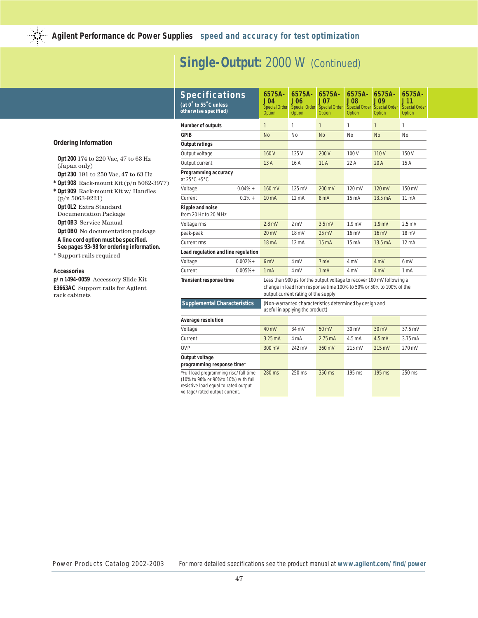# Single-Output: 2000 W (Continued)

|                                                                                                                                                                                                                                                                                                                                                                                                                                                | <b>Specifications</b><br>(at 0° to 55°C unless<br>otherwise specified)                                                                                |            | 6575A-<br>J04<br><b>Special Order</b><br>Option                                                                                                                                     | 6575A-<br><b>J06</b><br><b>Special Order</b><br>Option | 6575A-<br>J07<br><b>Special Order</b><br>Option | 6575A-<br><b>J08</b><br><b>Special Order</b><br>Option | 6575A-<br><b>J09</b><br><b>Special Order</b><br><b>Option</b> | 6575A-<br>J11<br><b>Special Order</b><br>Option |
|------------------------------------------------------------------------------------------------------------------------------------------------------------------------------------------------------------------------------------------------------------------------------------------------------------------------------------------------------------------------------------------------------------------------------------------------|-------------------------------------------------------------------------------------------------------------------------------------------------------|------------|-------------------------------------------------------------------------------------------------------------------------------------------------------------------------------------|--------------------------------------------------------|-------------------------------------------------|--------------------------------------------------------|---------------------------------------------------------------|-------------------------------------------------|
|                                                                                                                                                                                                                                                                                                                                                                                                                                                | Number of outputs                                                                                                                                     |            | $\mathbf{1}$                                                                                                                                                                        | 1                                                      | $\mathbf{1}$                                    | $\mathbf{1}$                                           | 1                                                             | 1                                               |
| <b>Ordering Information</b>                                                                                                                                                                                                                                                                                                                                                                                                                    | <b>GPIB</b>                                                                                                                                           |            | <b>No</b>                                                                                                                                                                           | No                                                     | <b>No</b>                                       | No                                                     | <b>No</b>                                                     | No                                              |
|                                                                                                                                                                                                                                                                                                                                                                                                                                                | <b>Output ratings</b>                                                                                                                                 |            |                                                                                                                                                                                     |                                                        |                                                 |                                                        |                                                               |                                                 |
| Opt 200 174 to 220 Vac, 47 to 63 Hz<br>(Japan only)<br>Opt 230 191 to 250 Vac, 47 to 63 Hz<br>* Opt 908 Rack-mount Kit $(p/n 5062-3977)$<br>* Opt 909 Rack-mount Kit w/ Handles<br>$(p/n 5063-9221)$<br>Opt 0L2 Extra Standard<br><b>Documentation Package</b><br>Opt 0B3 Service Manual<br>Opt 0B0 No documentation package<br>A line cord option must be specified.<br>See pages 93-98 for ordering information.<br>* Support rails required | Output voltage                                                                                                                                        |            | 160V                                                                                                                                                                                | 135 V                                                  | 200 V                                           | 100V                                                   | 110V                                                          | 150V                                            |
|                                                                                                                                                                                                                                                                                                                                                                                                                                                | Output current                                                                                                                                        |            | 13A                                                                                                                                                                                 | 16A                                                    | 11A                                             | 22 A                                                   | 20A                                                           | 15 A                                            |
|                                                                                                                                                                                                                                                                                                                                                                                                                                                | Programming accuracy<br>at $25^{\circ}$ C $\pm 5^{\circ}$ C                                                                                           |            |                                                                                                                                                                                     |                                                        |                                                 |                                                        |                                                               |                                                 |
|                                                                                                                                                                                                                                                                                                                                                                                                                                                | Voltage                                                                                                                                               | $0.04\% +$ | 160 mV                                                                                                                                                                              | 125 mV                                                 | 200 mV                                          | 120 mV                                                 | 120 mV                                                        | 150 mV                                          |
|                                                                                                                                                                                                                                                                                                                                                                                                                                                | Current                                                                                                                                               | $0.1% +$   | 10 mA                                                                                                                                                                               | $12 \text{ mA}$                                        | 8 mA                                            | $15 \text{ mA}$                                        | 13.5 mA                                                       | $11 \text{ mA}$                                 |
|                                                                                                                                                                                                                                                                                                                                                                                                                                                | Ripple and noise<br>from 20 Hz to 20 MHz                                                                                                              |            |                                                                                                                                                                                     |                                                        |                                                 |                                                        |                                                               |                                                 |
|                                                                                                                                                                                                                                                                                                                                                                                                                                                | Voltage rms                                                                                                                                           |            | $2.8$ mV                                                                                                                                                                            | 2 mV                                                   | $3.5$ mV                                        | 1.9 <sub>mV</sub>                                      | 1.9 <sub>mV</sub>                                             | $2.5 \text{ mV}$                                |
|                                                                                                                                                                                                                                                                                                                                                                                                                                                | peak-peak                                                                                                                                             |            | $20 \text{ mV}$                                                                                                                                                                     | 18 mV                                                  | $25 \text{ mV}$                                 | $16 \text{ mV}$                                        | 16 mV                                                         | 18 mV                                           |
|                                                                                                                                                                                                                                                                                                                                                                                                                                                | <b>Current rms</b>                                                                                                                                    |            | 18 mA                                                                                                                                                                               | 12 mA                                                  | 15 <sub>m</sub> A                               | 15 mA                                                  | 13.5 mA                                                       | $12 \text{ mA}$                                 |
|                                                                                                                                                                                                                                                                                                                                                                                                                                                | Load regulation and line regulation                                                                                                                   |            |                                                                                                                                                                                     |                                                        |                                                 |                                                        |                                                               |                                                 |
|                                                                                                                                                                                                                                                                                                                                                                                                                                                | Voltage                                                                                                                                               | $0.002%+$  | 6mV                                                                                                                                                                                 | 4 mV                                                   | 7 mV                                            | 4 mV                                                   | 4 mV                                                          | 6 mV                                            |
| <b>Accessories</b>                                                                                                                                                                                                                                                                                                                                                                                                                             | Current                                                                                                                                               | $0.005% +$ | 1 <sub>m</sub> A                                                                                                                                                                    | 4 mV                                                   | 1 <sub>m</sub> A                                | 4 mV                                                   | 4 mV                                                          | 1 <sub>m</sub> A                                |
| p/n 1494-0059 Accessory Slide Kit<br><b>E3663AC</b> Support rails for Agilent<br>rack cabinets                                                                                                                                                                                                                                                                                                                                                 | Transient response time                                                                                                                               |            | Less than 900 us for the output voltage to recover 100 mV following a<br>change in load from response time 100% to 50% or 50% to 100% of the<br>output current rating of the supply |                                                        |                                                 |                                                        |                                                               |                                                 |
|                                                                                                                                                                                                                                                                                                                                                                                                                                                | <b>Supplemental Characteristics</b>                                                                                                                   |            | (Non-warranted characteristics determined by design and<br>useful in applying the product)                                                                                          |                                                        |                                                 |                                                        |                                                               |                                                 |
|                                                                                                                                                                                                                                                                                                                                                                                                                                                | Average resolution                                                                                                                                    |            |                                                                                                                                                                                     |                                                        |                                                 |                                                        |                                                               |                                                 |
|                                                                                                                                                                                                                                                                                                                                                                                                                                                | Voltage                                                                                                                                               |            | 40 mV                                                                                                                                                                               | 34 mV                                                  | 50 mV                                           | $30 \text{ mV}$                                        | $30 \text{ mV}$                                               | 37.5 mV                                         |
|                                                                                                                                                                                                                                                                                                                                                                                                                                                | Current                                                                                                                                               |            | $3.25 \text{ mA}$                                                                                                                                                                   | 4 mA                                                   | $2.75 \text{ mA}$                               | 4.5 <sub>m</sub> A                                     | 4.5 <sub>m</sub> A                                            | 3.75 mA                                         |
|                                                                                                                                                                                                                                                                                                                                                                                                                                                | <b>OVP</b>                                                                                                                                            |            | 300 mV                                                                                                                                                                              | 242 mV                                                 | 360 mV                                          | 215 mV                                                 | $215 \text{ mV}$                                              | 270 mV                                          |
|                                                                                                                                                                                                                                                                                                                                                                                                                                                | Output voltage<br>programming response time*                                                                                                          |            |                                                                                                                                                                                     |                                                        |                                                 |                                                        |                                                               |                                                 |
|                                                                                                                                                                                                                                                                                                                                                                                                                                                | *Full load programming rise/fall time<br>(10% to 90% or 90%to 10%) with full<br>resistive load equal to rated output<br>voltage/rated output current. |            | 280 ms                                                                                                                                                                              | 250 ms                                                 | 350 ms                                          | 195 ms                                                 | 195 ms                                                        | 250 ms                                          |